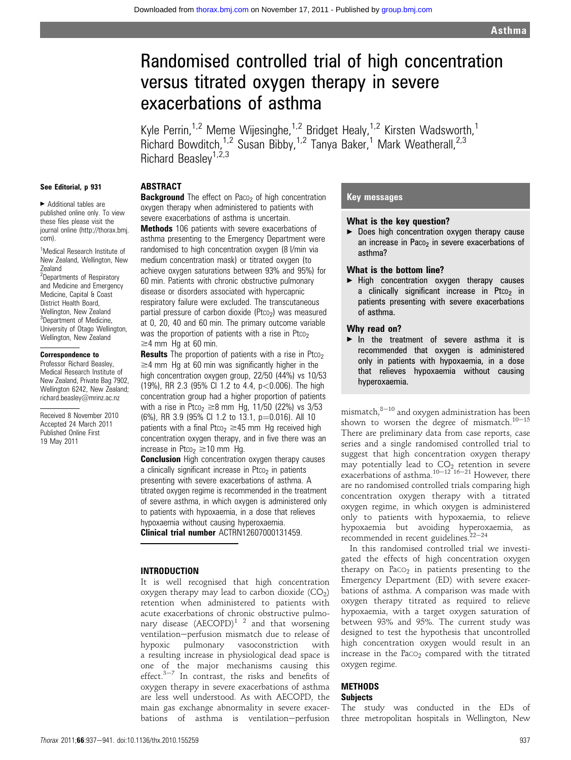# Randomised controlled trial of high concentration versus titrated oxygen therapy in severe exacerbations of asthma

Kyle Perrin,<sup>1,2</sup> Meme Wijesinghe,<sup>1,2</sup> Bridget Healy,<sup>1,2</sup> Kirsten Wadsworth,<sup>1</sup> Richard Bowditch, $1.2$  Susan Bibby, $1.2$  Tanya Baker, $1$  Mark Weatherall, $2.3$ Richard Beaslev<sup>1,2,3</sup>

# See Editorial, p 931

 $\blacktriangleright$  Additional tables are published online only. To view these files please visit the journal online (http://thorax.bmj. com).

<sup>1</sup>Medical Research Institute of New Zealand, Wellington, New Zealand <sup>2</sup>Departments of Respiratory and Medicine and Emergency Medicine, Capital & Coast District Health Board, Wellington, New Zealand

<sup>3</sup>Department of Medicine, University of Otago Wellington, Wellington, New Zealand

#### Correspondence to

Professor Richard Beasley, Medical Research Institute of New Zealand, Private Bag 7902, Wellington 6242, New Zealand; richard.beasley@mrinz.ac.nz

Received 8 November 2010 Accepted 24 March 2011 Published Online First 19 May 2011

# ABSTRACT

**Background** The effect on Paco<sub>2</sub> of high concentration oxygen therapy when administered to patients with severe exacerbations of asthma is uncertain.

**Methods** 106 patients with severe exacerbations of asthma presenting to the Emergency Department were randomised to high concentration oxygen (8 l/min via medium concentration mask) or titrated oxygen (to achieve oxygen saturations between 93% and 95%) for 60 min. Patients with chronic obstructive pulmonary disease or disorders associated with hypercapnic respiratory failure were excluded. The transcutaneous partial pressure of carbon dioxide (Ptco<sub>2</sub>) was measured at 0, 20, 40 and 60 min. The primary outcome variable was the proportion of patients with a rise in Ptco<sub>2</sub>  $\geq$ 4 mm Hg at 60 min.

**Results** The proportion of patients with a rise in Ptco<sub>2</sub>  $\geq$ 4 mm Hg at 60 min was significantly higher in the high concentration oxygen group, 22/50 (44%) vs 10/53 (19%), RR 2.3 (95% CI 1.2 to 4.4, p<0.006). The high concentration group had a higher proportion of patients with a rise in Ptco<sub>2</sub>  $\geq$ 8 mm Hg, 11/50 (22%) vs 3/53  $(6%)$ , RR 3.9 (95% CI 1.2 to 13.1, p=0.016). All 10 patients with a final Ptco<sub>2</sub>  $\geq$ 45 mm Hg received high concentration oxygen therapy, and in five there was an increase in Ptco<sub>2</sub>  $\geq$  10 mm Hg.

**Conclusion** High concentration oxygen therapy causes a clinically significant increase in Ptco<sub>2</sub> in patients presenting with severe exacerbations of asthma. A titrated oxygen regime is recommended in the treatment of severe asthma, in which oxygen is administered only to patients with hypoxaemia, in a dose that relieves hypoxaemia without causing hyperoxaemia. Clinical trial number ACTRN12607000131459.

# INTRODUCTION

It is well recognised that high concentration oxygen therapy may lead to carbon dioxide  $(CO<sub>2</sub>)$ retention when administered to patients with acute exacerbations of chronic obstructive pulmonary disease  $(AECOPD)^{1/2}$  and that worsening ventilation-perfusion mismatch due to release of hypoxic pulmonary vasoconstriction with a resulting increase in physiological dead space is one of the major mechanisms causing this effect. $3-7$  In contrast, the risks and benefits of oxygen therapy in severe exacerbations of asthma are less well understood. As with AECOPD, the main gas exchange abnormality in severe exacerbations of asthma is ventilation-perfusion

# Key messages

#### What is the key question?

 $\blacktriangleright$  Does high concentration oxygen therapy cause an increase in Paco<sub>2</sub> in severe exacerbations of asthma?

#### What is the bottom line?

► High concentration oxygen therapy causes a clinically significant increase in Ptco<sub>2</sub> in patients presenting with severe exacerbations of asthma.

# Why read on?

 $\blacktriangleright$  In the treatment of severe asthma it is recommended that oxygen is administered only in patients with hypoxaemia, in a dose that relieves hypoxaemia without causing hyperoxaemia.

mismatch, $8-10$  and oxygen administration has been shown to worsen the degree of mismatch.<sup>10-15</sup> There are preliminary data from case reports, case series and a single randomised controlled trial to suggest that high concentration oxygen therapy may potentially lead to  $CO<sub>2</sub>$  retention in severe exacerbations of asthma.<sup>10-12 16-21</sup> However, there are no randomised controlled trials comparing high concentration oxygen therapy with a titrated oxygen regime, in which oxygen is administered only to patients with hypoxaemia, to relieve hypoxaemia but avoiding hyperoxaemia, as recommended in recent guidelines. $22-24$ 

In this randomised controlled trial we investigated the effects of high concentration oxygen therapy on  $P_{ACO<sub>2</sub>}$  in patients presenting to the Emergency Department (ED) with severe exacerbations of asthma. A comparison was made with oxygen therapy titrated as required to relieve hypoxaemia, with a target oxygen saturation of between 93% and 95%. The current study was designed to test the hypothesis that uncontrolled high concentration oxygen would result in an increase in the Pa $\cos$  compared with the titrated oxygen regime.

# **METHODS**

# **Subjects**

The study was conducted in the EDs of three metropolitan hospitals in Wellington, New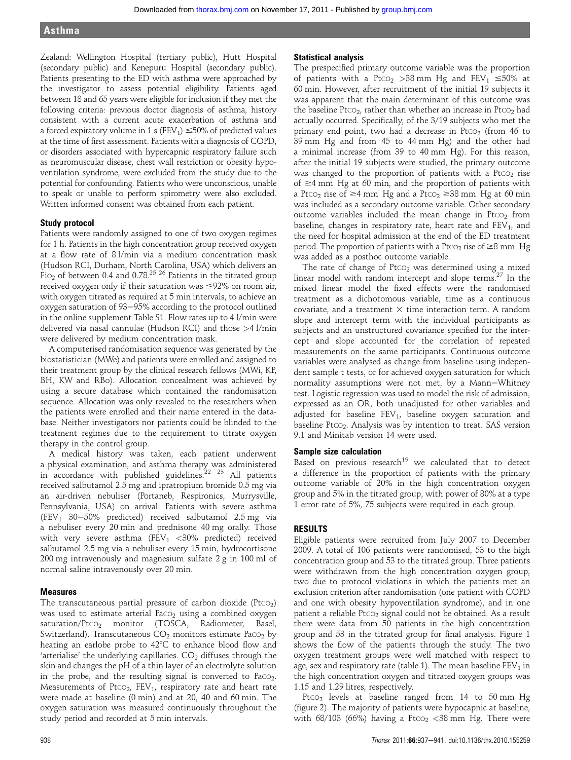Zealand: Wellington Hospital (tertiary public), Hutt Hospital (secondary public) and Kenepuru Hospital (secondary public). Patients presenting to the ED with asthma were approached by the investigator to assess potential eligibility. Patients aged between 18 and 65 years were eligible for inclusion if they met the following criteria: previous doctor diagnosis of asthma, history consistent with a current acute exacerbation of asthma and a forced expiratory volume in 1 s (FEV<sub>1</sub>)  $\leq$ 50% of predicted values at the time of first assessment. Patients with a diagnosis of COPD, or disorders associated with hypercapnic respiratory failure such as neuromuscular disease, chest wall restriction or obesity hypoventilation syndrome, were excluded from the study due to the potential for confounding. Patients who were unconscious, unable to speak or unable to perform spirometry were also excluded. Written informed consent was obtained from each patient.

#### Study protocol

Patients were randomly assigned to one of two oxygen regimes for 1 h. Patients in the high concentration group received oxygen at a flow rate of 8 l/min via a medium concentration mask (Hudson RCI, Durham, North Carolina, USA) which delivers an Fi $_{2}$  of between 0.4 and 0.78.<sup>25 26</sup> Patients in the titrated group received oxygen only if their saturation was  $\leq 92\%$  on room air, with oxygen titrated as required at 5 min intervals, to achieve an oxygen saturation of 93-95% according to the protocol outlined in the online supplement Table S1. Flow rates up to 4 l/min were delivered via nasal cannulae (Hudson RCI) and those >4 l/min were delivered by medium concentration mask.

A computerised randomisation sequence was generated by the biostatistician (MWe) and patients were enrolled and assigned to their treatment group by the clinical research fellows (MWi, KP, BH, KW and RBo). Allocation concealment was achieved by using a secure database which contained the randomisation sequence. Allocation was only revealed to the researchers when the patients were enrolled and their name entered in the database. Neither investigators nor patients could be blinded to the treatment regimes due to the requirement to titrate oxygen therapy in the control group.

A medical history was taken, each patient underwent a physical examination, and asthma therapy was administered in accordance with published guidelines.<sup>22 23</sup> All patients received salbutamol 2.5 mg and ipratropium bromide 0.5 mg via an air-driven nebuliser (Portaneb, Respironics, Murrysville, Pennsylvania, USA) on arrival. Patients with severe asthma (FEV<sub>1</sub> 30-50% predicted) received salbutamol 2.5 mg via a nebuliser every 20 min and prednisone 40 mg orally. Those with very severe asthma (FEV<sub>1</sub>  $<$ 30% predicted) received salbutamol 2.5 mg via a nebuliser every 15 min, hydrocortisone 200 mg intravenously and magnesium sulfate 2 g in 100 ml of normal saline intravenously over 20 min.

#### Measures

The transcutaneous partial pressure of carbon dioxide  $($ Pt $co<sub>2</sub>)$ was used to estimate arterial PaCO<sub>2</sub> using a combined oxygen saturation/Ptco<sub>2</sub> monitor (TOSCA, Radiometer, Basel, Switzerland). Transcutaneous  $CO<sub>2</sub>$  monitors estimate Pa $CO<sub>2</sub>$  by heating an earlobe probe to  $42^{\circ}$ C to enhance blood flow and 'arterialise' the underlying capillaries.  $CO<sub>2</sub>$  diffuses through the skin and changes the pH of a thin layer of an electrolyte solution in the probe, and the resulting signal is converted to  $Pacc<sub>2</sub>$ . Measurements of  $Ptco<sub>2</sub>$ ,  $FEV<sub>1</sub>$ , respiratory rate and heart rate were made at baseline (0 min) and at 20, 40 and 60 min. The oxygen saturation was measured continuously throughout the study period and recorded at 5 min intervals.

#### Statistical analysis

The prespecified primary outcome variable was the proportion of patients with a Ptco<sub>2</sub> > 38 mm Hg and FEV<sub>1</sub>  $\leq$  50% at 60 min. However, after recruitment of the initial 19 subjects it was apparent that the main determinant of this outcome was the baseline PtcO<sub>2</sub>, rather than whether an increase in PtcO<sub>2</sub> had actually occurred. Specifically, of the 3/19 subjects who met the primary end point, two had a decrease in Ptc $O<sub>2</sub>$  (from 46 to 39 mm Hg and from 45 to 44 mm Hg) and the other had a minimal increase (from 39 to 40 mm Hg). For this reason, after the initial 19 subjects were studied, the primary outcome was changed to the proportion of patients with a  $PtCO<sub>2</sub>$  rise of  $\geq$ 4 mm Hg at 60 min, and the proportion of patients with a Ptco<sub>2</sub> rise of  $\geq$ 4 mm Hg and a Ptco<sub>2</sub>  $\geq$ 38 mm Hg at 60 min was included as a secondary outcome variable. Other secondary outcome variables included the mean change in  $PtCO<sub>2</sub>$  from baseline, changes in respiratory rate, heart rate and  $FEV<sub>1</sub>$ , and the need for hospital admission at the end of the ED treatment period. The proportion of patients with a Ptc $o_2$  rise of  $\geq 8$  mm Hg was added as a posthoc outcome variable.

The rate of change of  $PtCO<sub>2</sub>$  was determined using a mixed linear model with random intercept and slope terms.<sup>27</sup> In the mixed linear model the fixed effects were the randomised treatment as a dichotomous variable, time as a continuous covariate, and a treatment  $\times$  time interaction term. A random slope and intercept term with the individual participants as subjects and an unstructured covariance specified for the intercept and slope accounted for the correlation of repeated measurements on the same participants. Continuous outcome variables were analysed as change from baseline using independent sample t tests, or for achieved oxygen saturation for which normality assumptions were not met, by a Mann-Whitney test. Logistic regression was used to model the risk of admission, expressed as an OR, both unadjusted for other variables and adjusted for baseline  $FEV_1$ , baseline oxygen saturation and baseline Ptco<sub>2</sub>. Analysis was by intention to treat. SAS version 9.1 and Minitab version 14 were used.

# Sample size calculation

Based on previous research<sup>19</sup> we calculated that to detect a difference in the proportion of patients with the primary outcome variable of 20% in the high concentration oxygen group and 5% in the titrated group, with power of 80% at a type 1 error rate of 5%, 75 subjects were required in each group.

# RESULTS

Eligible patients were recruited from July 2007 to December 2009. A total of 106 patients were randomised, 53 to the high concentration group and 53 to the titrated group. Three patients were withdrawn from the high concentration oxygen group, two due to protocol violations in which the patients met an exclusion criterion after randomisation (one patient with COPD and one with obesity hypoventilation syndrome), and in one patient a reliable Ptco<sub>2</sub> signal could not be obtained. As a result there were data from 50 patients in the high concentration group and 53 in the titrated group for final analysis. Figure 1 shows the flow of the patients through the study. The two oxygen treatment groups were well matched with respect to age, sex and respiratory rate (table 1). The mean baseline  $FEV<sub>1</sub>$  in the high concentration oxygen and titrated oxygen groups was 1.15 and 1.29 litres, respectively.

Ptco<sub>2</sub> levels at baseline ranged from 14 to 50 mm Hg (figure 2). The majority of patients were hypocapnic at baseline, with 68/103 (66%) having a Ptco<sub>2</sub> <38 mm Hg. There were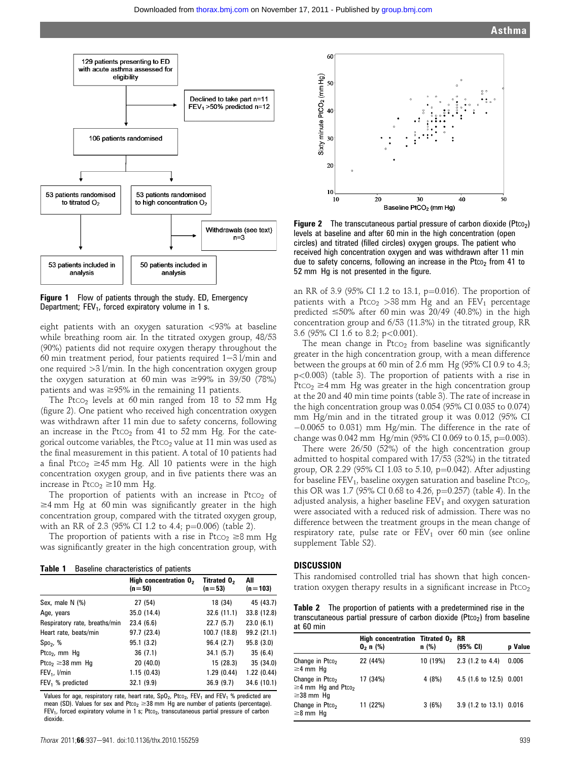

**Figure 1** Flow of patients through the study. ED, Emergency Department;  $FEV<sub>1</sub>$ , forced expiratory volume in 1 s.

eight patients with an oxygen saturation <93% at baseline while breathing room air. In the titrated oxygen group, 48/53 (90%) patients did not require oxygen therapy throughout the 60 min treatment period, four patients required  $1-3$  l/min and one required >3 l/min. In the high concentration oxygen group the oxygen saturation at 60 min was  $\geq$ 99% in 39/50 (78%) patients and was  $\geq$ 95% in the remaining 11 patients.

The Ptco<sub>2</sub> levels at 60 min ranged from 18 to 52 mm Hg (figure 2). One patient who received high concentration oxygen was withdrawn after 11 min due to safety concerns, following an increase in the Ptco<sub>2</sub> from 41 to 52 mm Hg. For the categorical outcome variables, the Ptco<sub>2</sub> value at 11 min was used as the final measurement in this patient. A total of 10 patients had a final Ptco<sub>2</sub>  $\geq$ 45 mm Hg. All 10 patients were in the high concentration oxygen group, and in five patients there was an increase in Ptco<sub>2</sub>  $\geq$  10 mm Hg.

The proportion of patients with an increase in  $Ptco<sub>2</sub>$  of  $\geq$ 4 mm Hg at 60 min was significantly greater in the high concentration group, compared with the titrated oxygen group, with an RR of 2.3 (95% CI 1.2 to 4.4;  $p=0.006$ ) (table 2).

The proportion of patients with a rise in Ptco<sub>2</sub>  $\geq$ 8 mm Hg was significantly greater in the high concentration group, with

Table 1 Baseline characteristics of patients

|                                   | High concentration $02$<br>$(n=50)$ | Titrated 0,<br>$(n=53)$ | All<br>$(n=103)$ |
|-----------------------------------|-------------------------------------|-------------------------|------------------|
| Sex, male N (%)                   | 27 (54)                             | 18 (34)                 | 45 (43.7)        |
| Age, years                        | 35.0(14.4)                          | 32.6(11.1)              | 33.8 (12.8)      |
| Respiratory rate, breaths/min     | 23.4(6.6)                           | 22.7(5.7)               | 23.0(6.1)        |
| Heart rate, beats/min             | 97.7 (23.4)                         | 100.7 (18.8)            | 99.2 (21.1)      |
| $Spo2$ , %                        | 95.1(3.2)                           | 96.4(2.7)               | 95.8(3.0)        |
| Ptco <sub>2</sub> , mm $Hg$       | 36(7.1)                             | 34.1(5.7)               | 35(6.4)          |
| Ptco <sub>2</sub> $\geq$ 38 mm Hg | 20(40.0)                            | 15 (28.3)               | 35(34.0)         |
| $FEV1$ , $l/min$                  | 1.15(0.43)                          | 1.29(0.44)              | 1.22(0.44)       |
| $FEV1$ % predicted                | 32.1(9.9)                           | 36.9(9.7)               | 34.6 (10.1)      |

Values for age, respiratory rate, heart rate,  $SpO_2$ ,  $Ptco_2$ ,  $FEV_1$  and  $FEV_1$  % predicted are mean (SD). Values for sex and Ptco<sub>2</sub>  $\geq$ 38 mm Hg are number of patients (percentage).  $FEV<sub>1</sub>$ , forced expiratory volume in 1 s; Ptco<sub>2</sub>, transcutaneous partial pressure of carbon dioxide.



**Figure 2** The transcutaneous partial pressure of carbon dioxide ( $Ptco<sub>2</sub>$ ) levels at baseline and after 60 min in the high concentration (open circles) and titrated (filled circles) oxygen groups. The patient who received high concentration oxygen and was withdrawn after 11 min due to safety concerns, following an increase in the Ptco<sub>2</sub> from 41 to 52 mm Hg is not presented in the figure.

an RR of 3.9 (95% CI 1.2 to 13.1,  $p=0.016$ ). The proportion of patients with a Ptco<sub>2</sub> > 38 mm Hg and an FEV<sub>1</sub> percentage predicted  $\leq 50\%$  after 60 min was 20/49 (40.8%) in the high concentration group and 6/53 (11.3%) in the titrated group, RR 3.6 (95% CI 1.6 to 8.2; p<0.001).

The mean change in  $P<sub>CO2</sub>$  from baseline was significantly greater in the high concentration group, with a mean difference between the groups at 60 min of 2.6 mm Hg (95% CI 0.9 to 4.3; p<0.003) (table 3). The proportion of patients with a rise in Pt $\cos 2$   $\geq$ 4 mm Hg was greater in the high concentration group at the 20 and 40 min time points (table 3). The rate of increase in the high concentration group was 0.054 (95% CI 0.035 to 0.074) mm Hg/min and in the titrated group it was 0.012 (95% CI -0.0065 to 0.031) mm Hg/min. The difference in the rate of change was 0.042 mm Hg/min (95% CI 0.069 to 0.15, p=0.003).

There were 26/50 (52%) of the high concentration group admitted to hospital compared with 17/53 (32%) in the titrated group, OR 2.29 (95% CI 1.03 to 5.10,  $p=0.042$ ). After adjusting for baseline  $FEV_1$ , baseline oxygen saturation and baseline  $Ptco<sub>2</sub>$ , this OR was 1.7 (95% CI 0.68 to 4.26, p=0.257) (table 4). In the adjusted analysis, a higher baseline  $FEV<sub>1</sub>$  and oxygen saturation were associated with a reduced risk of admission. There was no difference between the treatment groups in the mean change of respiratory rate, pulse rate or  $FEV<sub>1</sub>$  over 60 min (see online supplement Table S2).

#### **DISCUSSION**

This randomised controlled trial has shown that high concentration oxygen therapy results in a significant increase in  $Ptco<sub>2</sub>$ 

Table 2 The proportion of patients with a predetermined rise in the transcutaneous partial pressure of carbon dioxide  $($ Pt $co<sub>2</sub>)$  from baseline at 60 min

|                                                                                        | High concentration Titrated 0, RR<br>$0_2$ n $(%)$ | n (%)    | $(95% \text{ CI})$      | p Value |
|----------------------------------------------------------------------------------------|----------------------------------------------------|----------|-------------------------|---------|
| Change in Ptco <sub>2</sub><br>$\geq$ 4 mm Hq                                          | 22 (44%)                                           | 10 (19%) | $2.3$ (1.2 to 4.4)      | 0.006   |
| Change in Ptco <sub>2</sub><br>$\geq$ 4 mm Hg and Ptco <sub>2</sub><br>$\geq$ 38 mm Hq | 17 (34%)                                           | 4 (8%)   | 4.5 (1.6 to 12.5) 0.001 |         |
| Change in Ptco <sub>2</sub><br>$\geq$ 8 mm Hq                                          | 11 (22%)                                           | 3(6%)    | 3.9 (1.2 to 13.1) 0.016 |         |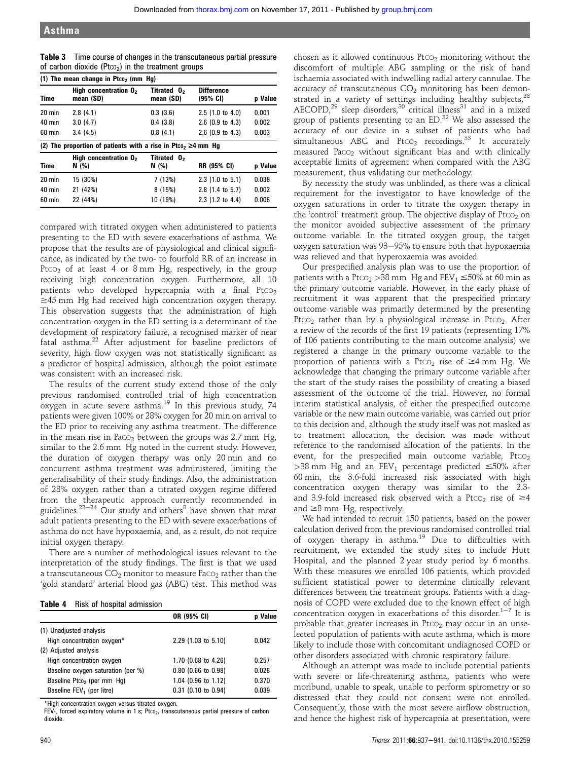| (1) The mean change in Ptco <sub>2</sub> (mm Hg) |                                                                                |                          |                                         |         |
|--------------------------------------------------|--------------------------------------------------------------------------------|--------------------------|-----------------------------------------|---------|
| Time                                             | High concentration 0,<br>mean (SD)                                             | Titrated 0,<br>mean (SD) | <b>Difference</b><br>$(95% \text{ CI})$ | p Value |
| $20 \text{ min}$                                 | 2.8(4.1)                                                                       | 0.3(3.6)                 | $2.5(1.0 \text{ to } 4.0)$              | 0.001   |
| $40$ min                                         | 3.0(4.7)                                                                       | 0.4(3.8)                 | $2.6$ (0.9 to 4.3)                      | 0.002   |
| 60 min                                           | 3.4(4.5)                                                                       | 0.8(4.1)                 | $2.6$ (0.9 to 4.3)                      | 0.003   |
|                                                  |                                                                                |                          |                                         |         |
|                                                  | (2) The proportion of patients with a rise in Ptco <sub>2</sub> $\geq$ 4 mm Hg |                          |                                         |         |
| <b>Time</b>                                      | High concentration 0,<br>$N$ (%)                                               | Titrated 0,<br>N (%)     | <b>RR (95% CI)</b>                      | p Value |
| $20 \text{ min}$                                 | 15 (30%)                                                                       | 7(13%)                   | $2.3(1.0 \text{ to } 5.1)$              | 0.038   |
| 40 min                                           | 21 (42%)                                                                       | 8(15%)                   | 2.8 (1.4 to 5.7)                        | 0.002   |

Table 3 Time course of changes in the transcutaneous partial pressure of carbon dioxide ( $P_{tCO_2}$ ) in the treatment groups

compared with titrated oxygen when administered to patients presenting to the ED with severe exacerbations of asthma. We propose that the results are of physiological and clinical significance, as indicated by the two- to fourfold RR of an increase in Ptco<sub>2</sub> of at least 4 or 8 mm Hg, respectively, in the group receiving high concentration oxygen. Furthermore, all 10 patients who developed hypercapnia with a final Ptco<sub>2</sub>  $\geq$ 45 mm Hg had received high concentration oxygen therapy. This observation suggests that the administration of high concentration oxygen in the ED setting is a determinant of the development of respiratory failure, a recognised marker of near fatal asthma.<sup>22</sup> After adjustment for baseline predictors of severity, high flow oxygen was not statistically significant as a predictor of hospital admission, although the point estimate was consistent with an increased risk.

The results of the current study extend those of the only previous randomised controlled trial of high concentration oxygen in acute severe asthma.<sup>19</sup> In this previous study, 74 patients were given 100% or 28% oxygen for 20 min on arrival to the ED prior to receiving any asthma treatment. The difference in the mean rise in Paco<sub>2</sub> between the groups was  $2.7$  mm Hg, similar to the 2.6 mm Hg noted in the current study. However, the duration of oxygen therapy was only 20 min and no concurrent asthma treatment was administered, limiting the generalisability of their study findings. Also, the administration of 28% oxygen rather than a titrated oxygen regime differed from the therapeutic approach currently recommended in guidelines.<sup>22-24</sup> Our study and others<sup>8</sup> have shown that most adult patients presenting to the ED with severe exacerbations of asthma do not have hypoxaemia, and, as a result, do not require initial oxygen therapy.

There are a number of methodological issues relevant to the interpretation of the study findings. The first is that we used a transcutaneous  $CO_2$  monitor to measure Paco<sub>2</sub> rather than the 'gold standard' arterial blood gas (ABG) test. This method was

Table 4 Risk of hospital admission

|                                        | OR (95% CI)           | <b>p</b> Value |
|----------------------------------------|-----------------------|----------------|
| (1) Unadjusted analysis                |                       |                |
| High concentration oxygen*             | 2.29 (1.03 to 5.10)   | 0.042          |
| (2) Adjusted analysis                  |                       |                |
| High concentration oxygen              | 1.70 (0.68 to 4.26)   | 0.257          |
| Baseline oxygen saturation (per %)     | $0.80$ (0.66 to 0.98) | 0.028          |
| Baseline Ptco <sub>2</sub> (per mm Hq) | 1.04 (0.96 to 1.12)   | 0.370          |
| Baseline FEV <sub>1</sub> (per litre)  | 0.31 (0.10 to 0.94)   | 0.039          |

\*High concentration oxygen versus titrated oxygen.

FEV<sub>1</sub>, forced expiratory volume in 1 s; Ptco<sub>2</sub>, transcutaneous partial pressure of carbon dioxide

chosen as it allowed continuous  $PtCO<sub>2</sub>$  monitoring without the discomfort of multiple ABG sampling or the risk of hand ischaemia associated with indwelling radial artery cannulae. The accuracy of transcutaneous  $CO<sub>2</sub>$  monitoring has been demonstrated in a variety of settings including healthy subjects,<sup>28</sup> AECOPD,<sup>29</sup> sleep disorders,<sup>30</sup> critical illness<sup>31</sup> and in a mixed group of patients presenting to an ED.<sup>32</sup> We also assessed the accuracy of our device in a subset of patients who had simultaneous ABG and Ptco<sub>2</sub> recordings.<sup>33</sup> It accurately measured PaCO2 without significant bias and with clinically acceptable limits of agreement when compared with the ABG measurement, thus validating our methodology.

By necessity the study was unblinded, as there was a clinical requirement for the investigator to have knowledge of the oxygen saturations in order to titrate the oxygen therapy in the 'control' treatment group. The objective display of Ptco<sub>2</sub> on the monitor avoided subjective assessment of the primary outcome variable. In the titrated oxygen group, the target oxygen saturation was 93-95% to ensure both that hypoxaemia was relieved and that hyperoxaemia was avoided.

Our prespecified analysis plan was to use the proportion of patients with a Pt $\text{co}_2 > 38$  mm Hg and FEV $_1$   $\leq$ 50% at 60 min as the primary outcome variable. However, in the early phase of recruitment it was apparent that the prespecified primary outcome variable was primarily determined by the presenting Pt $CO<sub>2</sub>$  rather than by a physiological increase in Pt $CO<sub>2</sub>$ . After a review of the records of the first 19 patients (representing 17% of 106 patients contributing to the main outcome analysis) we registered a change in the primary outcome variable to the proportion of patients with a Ptco<sub>2</sub> rise of  $\geq$ 4 mm Hg. We acknowledge that changing the primary outcome variable after the start of the study raises the possibility of creating a biased assessment of the outcome of the trial. However, no formal interim statistical analysis, of either the prespecified outcome variable or the new main outcome variable, was carried out prior to this decision and, although the study itself was not masked as to treatment allocation, the decision was made without reference to the randomised allocation of the patients. In the event, for the prespecified main outcome variable,  $PtCO<sub>2</sub>$ >38 mm Hg and an FEV<sub>1</sub> percentage predicted  $\leq$ 50% after 60 min, the 3.6-fold increased risk associated with high concentration oxygen therapy was similar to the 2.3 and 3.9-fold increased risk observed with a Ptco<sub>2</sub> rise of  $\geq$ 4 and  $\geq$ 8 mm Hg, respectively.

We had intended to recruit 150 patients, based on the power calculation derived from the previous randomised controlled trial of oxygen therapy in asthma.<sup>19</sup> Due to difficulties with recruitment, we extended the study sites to include Hutt Hospital, and the planned 2 year study period by 6 months. With these measures we enrolled 106 patients, which provided sufficient statistical power to determine clinically relevant differences between the treatment groups. Patients with a diagnosis of COPD were excluded due to the known effect of high concentration oxygen in exacerbations of this disorder. $1-7$  It is probable that greater increases in  $PtCO<sub>2</sub>$  may occur in an unselected population of patients with acute asthma, which is more likely to include those with concomitant undiagnosed COPD or other disorders associated with chronic respiratory failure.

Although an attempt was made to include potential patients with severe or life-threatening asthma, patients who were moribund, unable to speak, unable to perform spirometry or so distressed that they could not consent were not enrolled. Consequently, those with the most severe airflow obstruction, and hence the highest risk of hypercapnia at presentation, were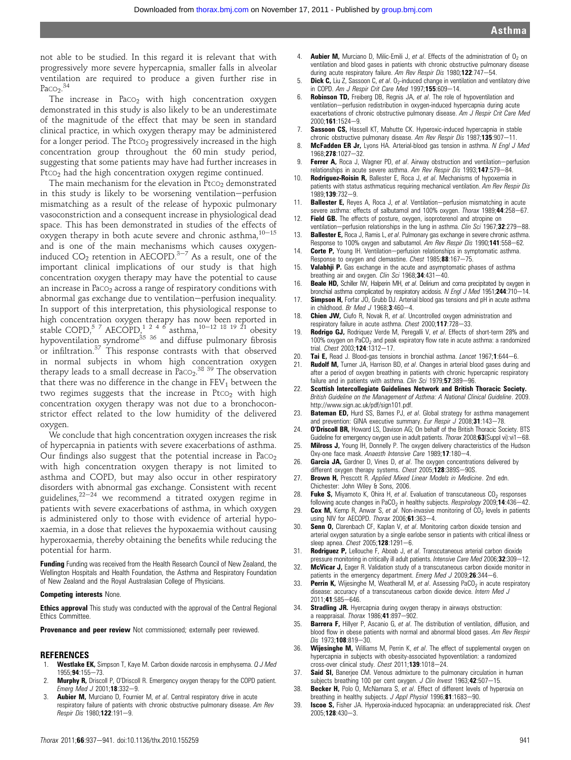not able to be studied. In this regard it is relevant that with progressively more severe hypercapnia, smaller falls in alveolar ventilation are required to produce a given further rise in  $Paco<sub>2</sub>$ .<sup>34</sup>

The increase in Paco<sub>2</sub> with high concentration oxygen demonstrated in this study is also likely to be an underestimate of the magnitude of the effect that may be seen in standard clinical practice, in which oxygen therapy may be administered for a longer period. The  $P<sub>CO2</sub>$  progressively increased in the high concentration group throughout the 60 min study period, suggesting that some patients may have had further increases in Ptco<sub>2</sub> had the high concentration oxygen regime continued.

The main mechanism for the elevation in  $Ptco<sub>2</sub>$  demonstrated in this study is likely to be worsening ventilation-perfusion mismatching as a result of the release of hypoxic pulmonary vasoconstriction and a consequent increase in physiological dead space. This has been demonstrated in studies of the effects of oxygen therapy in both acute severe and chronic asthma, $10-15$ and is one of the main mechanisms which causes oxygeninduced  $CO_2$  retention in AECOPD.<sup>3-7</sup> As a result, one of the important clinical implications of our study is that high concentration oxygen therapy may have the potential to cause an increase in Paco<sub>2</sub> across a range of respiratory conditions with abnormal gas exchange due to ventilation-perfusion inequality. In support of this interpretation, this physiological response to high concentration oxygen therapy has now been reported in stable COPD,<sup>5 7</sup> AECOPD,<sup>1 2 4 6</sup> asthma,<sup>10–12 18 19 21</sup> obesity hypoventilation syndrome<sup>35 36</sup> and diffuse pulmonary fibrosis or infiltration.<sup>37</sup> This response contrasts with that observed in normal subjects in whom high concentration oxygen therapy leads to a small decrease in  $\text{Paco}_{2}$ .<sup>38 39</sup> The observation that there was no difference in the change in  $FEV<sub>1</sub>$  between the two regimes suggests that the increase in Ptco<sub>2</sub> with high concentration oxygen therapy was not due to a bronchoconstrictor effect related to the low humidity of the delivered oxygen.

We conclude that high concentration oxygen increases the risk of hypercapnia in patients with severe exacerbations of asthma. Our findings also suggest that the potential increase in  $P_{\text{ACO}_2}$ with high concentration oxygen therapy is not limited to asthma and COPD, but may also occur in other respiratory disorders with abnormal gas exchange. Consistent with recent guidelines, $22-24$  we recommend a titrated oxygen regime in patients with severe exacerbations of asthma, in which oxygen is administered only to those with evidence of arterial hypoxaemia, in a dose that relieves the hypoxaemia without causing hyperoxaemia, thereby obtaining the benefits while reducing the potential for harm.

Funding Funding was received from the Health Research Council of New Zealand, the Wellington Hospitals and Health Foundation, the Asthma and Respiratory Foundation of New Zealand and the Royal Australasian College of Physicians.

#### Competing interests None.

**Ethics approval** This study was conducted with the approval of the Central Regional Ethics Committee.

Provenance and peer review Not commissioned; externally peer reviewed.

#### REFERENCES

- **Westlake EK,** Simpson T, Kaye M. Carbon dioxide narcosis in emphysema.  $Q$  J Med 1955:94:155-73.
- 2. **Murphy R,** Driscoll P, O'Driscoll R. Emergency oxygen therapy for the COPD patient. Emerg Med J 2001;18:332-9.
- 3. **Aubier M,** Murciano D, Fournier M, et al. Central respiratory drive in acute respiratory failure of patients with chronic obstructive pulmonary disease. Am Rev Respir Dis 1980;122:191-9.
- 4. **Aubier M**, Murciano D, Milic-Emili J, et al. Effects of the administration of  $\theta_2$  on ventilation and blood gases in patients with chronic obstructive pulmonary disease during acute respiratory failure. Am Rev Respir Dis 1980;122:747-54
- 5. **Dick C,** Liu Z, Sassoon C, et al.  $0<sub>2</sub>$ -induced change in ventilation and ventilatory drive in COPD. Am J Respir Crit Care Med 1997;155:609-14.
- 6. Robinson TD, Freiberg DB, Regnis JA, et al. The role of hypoventilation and ventilation-perfusion redistribution in oxygen-induced hypercapnia during acute exacerbations of chronic obstructive pulmonary disease. Am J Respir Crit Care Med  $2000 \cdot 161 \cdot 1524 - 9$
- 7. Sassoon CS, Hassell KT, Mahutte CK. Hyperoxic-induced hypercapnia in stable chronic obstructive pulmonary disease. Am Rev Respir Dis  $1987;135:907-11$ .
- 8. McFadden ER Jr, Lyons HA. Arterial-blood gas tension in asthma. N Engl J Med 1968;278:1027-32.
- Ferrer A, Roca J, Wagner PD, et al. Airway obstruction and ventilation-perfusion relationships in acute severe asthma. Am Rev Respir Dis 1993:147:579-84.
- 10. Rodriguez-Roisin R, Ballester E, Roca J, et al. Mechanisms of hypoxemia in patients with status asthmaticus requiring mechanical ventilation. Am Rev Respir Dis 1989:139:732-9.
- 11. **Ballester E,** Reyes A, Roca J, et al. Ventilation-perfusion mismatching in acute severe asthma: effects of salbutamol and 100% oxygen. Thorax 1989;44:258-67.
- 12. Field GB. The effects of posture, oxygen, isoproterenol and atropine on ventilation-perfusion relationships in the lung in asthma. Clin Sci 1967;32:279-88.
- 13. Ballester E, Roca J, Ramis L, et al. Pulmonary gas exchange in severe chronic asthma. Response to 100% oxygen and salbutamol. Am Rev Respir Dis 1990;141:558-62.
- 14. Corte P, Young IH. Ventilation-perfusion relationships in symptomatic asthma. Response to oxygen and clemastine. Chest  $1985$ ; 88:167-75.
- 15. Valabhji P. Gas exchange in the acute and asymptomatic phases of asthma breathing air and oxygen. Clin Sci 1968;  $34.431 - 40$ .
- 16. **Beale HD,** Schiller IW, Halperin MH, et al. Delirium and coma precipitated by oxygen in bronchial asthma complicated by respiratory acidosis. N Engl J Med 1951;244:710-14.
- 17. **Simpson H,** Forfar JO, Grubb DJ. Arterial blood gas tensions and pH in acute asthma in childhood. Br Med J 1968; $3:460-4$ .
- 18. Chien JW, Ciufo R, Novak R, et al. Uncontrolled oxygen administration and respiratory failure in acute asthma. Chest 2000;117:728-33.
- **Rodrigo GJ,** Rodriquez Verde M, Peregalli V, et al. Effects of short-term 28% and  $100\%$  oxygen on PaCO<sub>2</sub> and peak expiratory flow rate in acute asthma: a randomized trial. Chest 2003;124:1312-17.
- 20. Tai E, Read J. Blood-gas tensions in bronchial asthma. Lancet 1967;1:644-6.
- **Rudolf M,** Turner JA, Harrison BD, et al. Changes in arterial blood gases during and after a period of oxygen breathing in patients with chronic hypercapnic respiratory failure and in patients with asthma. Clin Sci 1979; 57:389-96.
- 22. Scottish Intercollegiate Guidelines Network and British Thoracic Society. British Guideline on the Management of Asthma: A National Clinical Guideline. 2009. http://www.sign.ac.uk/pdf/sign101.pdf.
- 23. **Bateman ED**, Hurd SS, Barnes PJ, et al. Global strategy for asthma management and prevention: GINA executive summary. Eur Respir J 2008;31:143-78.
- 24. **O'Driscoll BR,** Howard LS, Davison AG; On behalf of the British Thoracic Society. BTS Guideline for emergency oxygen use in adult patients. Thorax 2008;63(Suppl vi):vi1-68.
- 25. **Milross J,** Young IH, Donnelly P. The oxygen delivery characteristics of the Hudson Oxy-one face mask. Anaesth Intensive Care 1989;17:180-4.
- 26. Garcia JA, Gardner D, Vines D, et al. The oxygen concentrations delivered by different oxygen therapy systems. Chest 2005;128:389S-90S.
- 27. Brown H, Prescott R. Applied Mixed Linear Models in Medicine. 2nd edn. Chichester: John Wiley & Sons, 2006.
- 28. **Fuke S,** Miyamoto K, Ohira H, et al. Evaluation of transcutaneous  $CO<sub>2</sub>$  responses following acute changes in PaCO<sub>2</sub> in healthy subjects. Respirology 2009;14:436-42.
- 29. Cox M, Kemp R, Anwar S, et al. Non-invasive monitoring of  $CO<sub>2</sub>$  levels in patients using NIV for AECOPD. Thorax  $2006;61:363-4$ .
- 30. Senn O, Clarenbach CF, Kaplan V, et al. Monitoring carbon dioxide tension and arterial oxygen saturation by a single earlobe sensor in patients with critical illness or sleep apnea.  $Check$  2005; 128:1291-6.
- 31. Rodriguez P, Lellouche F, Aboab J, et al. Transcutaneous arterial carbon dioxide pressure monitoring in critically ill adult patients. Intensive Care Med 2006;32:309-12.
- 32. McVicar J, Eager R. Validation study of a transcutaneous carbon dioxide monitor in patients in the emergency department. Emerg Med J 2009;26:344-6.
- 33. **Perrin K,** Wijesinghe M, Weatherall M, et al. Assessing PaCO<sub>2</sub> in acute respiratory disease: accuracy of a transcutaneous carbon dioxide device. Intern Med J 2011;41:585-646.
- 34. Stradling JR. Hyercapnia during oxygen therapy in airways obstruction: a reappraisal. Thorax  $1986,41.897-902$ .
- 35. **Barrera F,** Hillyer P, Ascanio G, et al. The distribution of ventilation, diffusion, and blood flow in obese patients with normal and abnormal blood gases. Am Rev Respir Dis  $1973; 108:819 - 30.$
- 36. Wijesinghe M, Williams M, Perrin K, et al. The effect of supplemental oxygen on hypercapnia in subjects with obesity-associated hypoventilation: a randomized cross-over clinical study. Chest  $2011;139:1018-24$ .
- 37. Said SI, Banerjee CM. Venous admixture to the pulmonary circulation in human subjects breathing 100 per cent oxygen. J Clin Invest 1963;42:507-15.
- 38. Becker H, Polo O, McNamara S, et al. Effect of different levels of hyperoxia on breathing in healthy subjects. J Appl Physiol 1996;81:1683-90.
- 39. **Iscoe S**, Fisher JA. Hyperoxia-induced hypocapnia: an underappreciated risk. Chest  $2005;$ **128**:430-3.